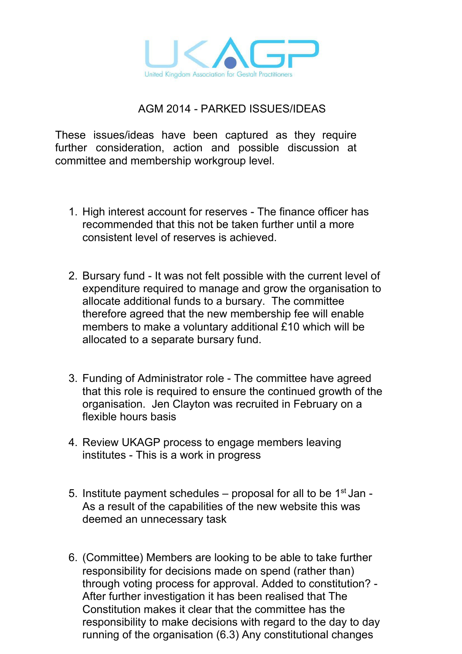

## AGM 2014 PARKED ISSUES/IDEAS

These issues/ideas have been captured as they require further consideration, action and possible discussion at committee and membership workgroup level.

- 1. High interest account for reserves The finance officer has recommended that this not be taken further until a more consistent level of reserves is achieved.
- 2. Bursary fund It was not felt possible with the current level of expenditure required to manage and grow the organisation to allocate additional funds to a bursary. The committee therefore agreed that the new membership fee will enable members to make a voluntary additional £10 which will be allocated to a separate bursary fund.
- 3. Funding of Administrator role The committee have agreed that this role is required to ensure the continued growth of the organisation. Jen Clayton was recruited in February on a flexible hours basis
- 4. Review UKAGP process to engage members leaving institutes - This is a work in progress
- 5. Institute payment schedules  $-$  proposal for all to be  $1<sup>st</sup>$  Jan -As a result of the capabilities of the new website this was deemed an unnecessary task
- 6. (Committee) Members are looking to be able to take further responsibility for decisions made on spend (rather than) through voting process for approval. Added to constitution? After further investigation it has been realised that The Constitution makes it clear that the committee has the responsibility to make decisions with regard to the day to day running of the organisation (6.3) Any constitutional changes